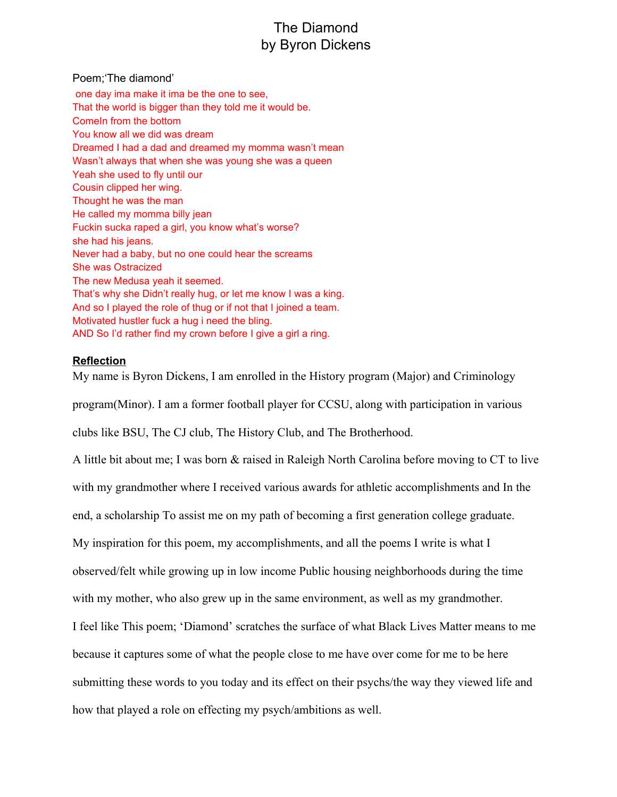## The Diamond by Byron Dickens

Poem;'The diamond'

one day ima make it ima be the one to see, That the world is bigger than they told me it would be. ComeIn from the bottom You know all we did was dream Dreamed I had a dad and dreamed my momma wasn't mean Wasn't always that when she was young she was a queen Yeah she used to fly until our Cousin clipped her wing. Thought he was the man He called my momma billy jean Fuckin sucka raped a girl, you know what's worse? she had his jeans. Never had a baby, but no one could hear the screams She was Ostracized The new Medusa yeah it seemed. That's why she Didn't really hug, or let me know I was a king. And so I played the role of thug or if not that I joined a team. Motivated hustler fuck a hug i need the bling. AND So I'd rather find my crown before I give a girl a ring.

## **Reflection**

My name is Byron Dickens, I am enrolled in the History program (Major) and Criminology program(Minor). I am a former football player for CCSU, along with participation in various

clubs like BSU, The CJ club, The History Club, and The Brotherhood.

A little bit about me; I was born & raised in Raleigh North Carolina before moving to CT to live with my grandmother where I received various awards for athletic accomplishments and In the end, a scholarship To assist me on my path of becoming a first generation college graduate. My inspiration for this poem, my accomplishments, and all the poems I write is what I observed/felt while growing up in low income Public housing neighborhoods during the time with my mother, who also grew up in the same environment, as well as my grandmother. I feel like This poem; 'Diamond' scratches the surface of what Black Lives Matter means to me because it captures some of what the people close to me have over come for me to be here submitting these words to you today and its effect on their psychs/the way they viewed life and how that played a role on effecting my psych/ambitions as well.